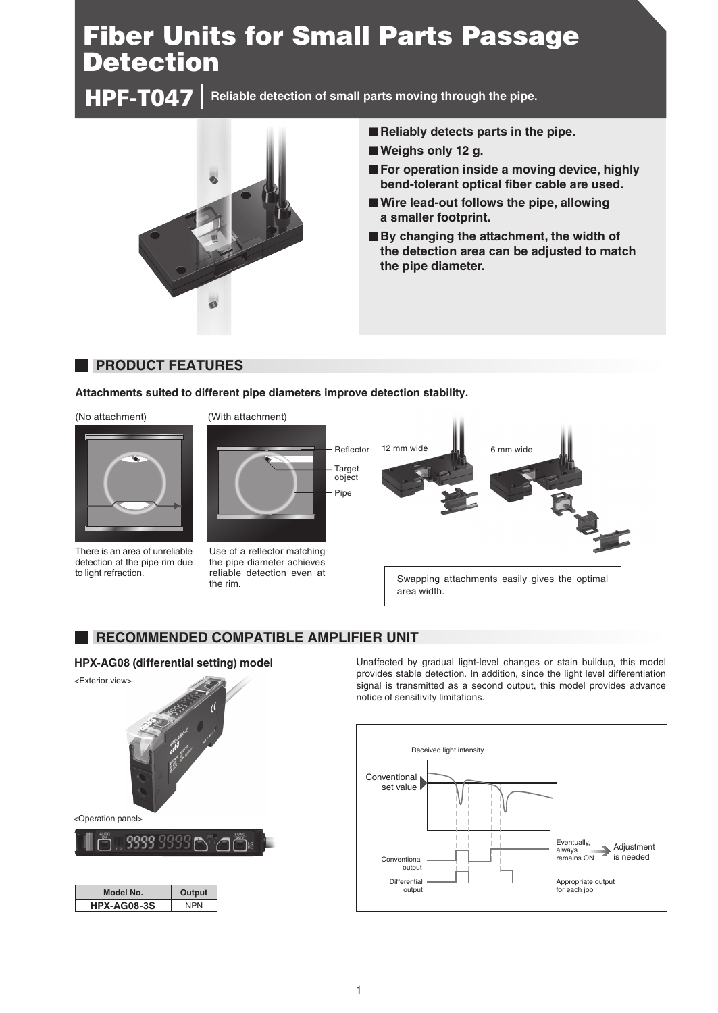# Fiber Units for Small Parts Passage **Detection**

**Reliable detection of small parts moving through the pipe.** HPF-T047



- **Reliably detects parts in the pipe.**
- **Weighs only 12 g.**
- **For operation inside a moving device, highly bend-tolerant optical fiber cable are used.**
- **Wire lead-out follows the pipe, allowing a smaller footprint.**
- **By changing the attachment, the width of the detection area can be adjusted to match the pipe diameter.**

### **PRODUCT FEATURES**

**Attachments suited to different pipe diameters improve detection stability.**



There is an area of unreliable detection at the pipe rim due to light refraction.





Use of a reflector matching the pipe diameter achieves reliable detection even at the rim.



#### **RECOMMENDED COMPATIBLE AMPLIFIER UNIT**

#### **HPX-AG08 (differential setting) model**



Unaffected by gradual light-level changes or stain buildup, this model provides stable detection. In addition, since the light level differentiation signal is transmitted as a second output, this model provides advance notice of sensitivity limitations.